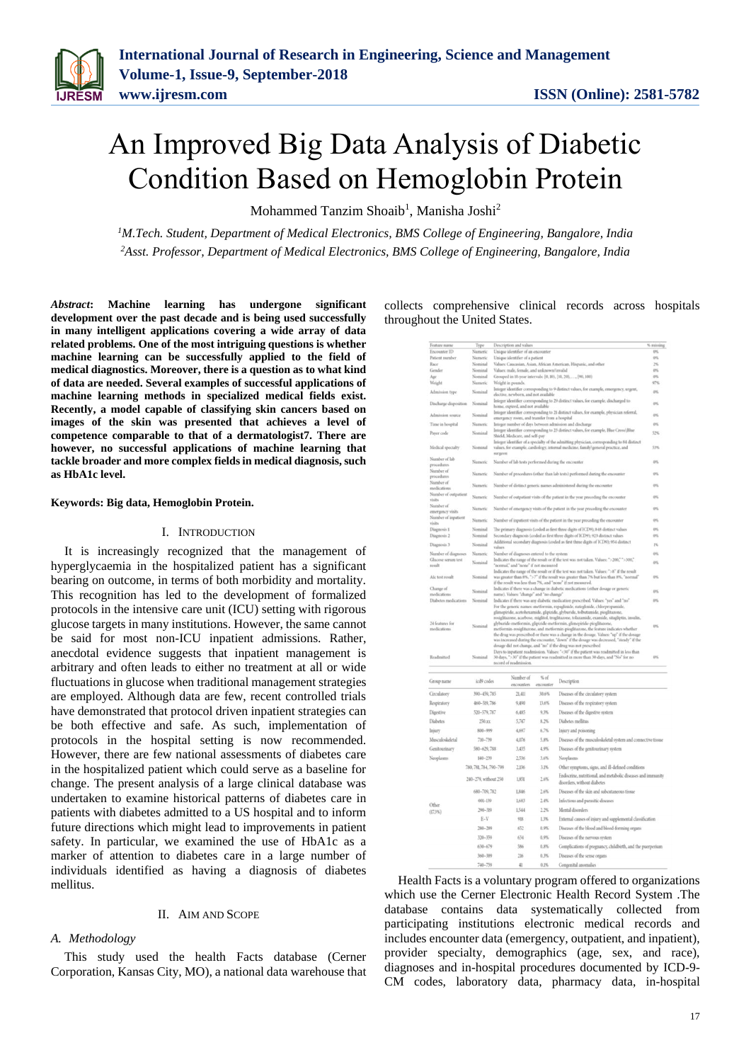# An Improved Big Data Analysis of Diabetic Condition Based on Hemoglobin Protein

Mohammed Tanzim Shoaib<sup>1</sup>, Manisha Joshi<sup>2</sup>

*<sup>1</sup>M.Tech. Student, Department of Medical Electronics, BMS College of Engineering, Bangalore, India <sup>2</sup>Asst. Professor, Department of Medical Electronics, BMS College of Engineering, Bangalore, India*

*Abstract***: Machine learning has undergone significant development over the past decade and is being used successfully in many intelligent applications covering a wide array of data related problems. One of the most intriguing questions is whether machine learning can be successfully applied to the field of medical diagnostics. Moreover, there is a question as to what kind of data are needed. Several examples of successful applications of machine learning methods in specialized medical fields exist. Recently, a model capable of classifying skin cancers based on images of the skin was presented that achieves a level of competence comparable to that of a dermatologist7. There are however, no successful applications of machine learning that tackle broader and more complex fields in medical diagnosis, such as HbA1c level.**

#### **Keywords: Big data, Hemoglobin Protein.**

#### I. INTRODUCTION

It is increasingly recognized that the management of hyperglycaemia in the hospitalized patient has a significant bearing on outcome, in terms of both morbidity and mortality. This recognition has led to the development of formalized protocols in the intensive care unit (ICU) setting with rigorous glucose targets in many institutions. However, the same cannot be said for most non-ICU inpatient admissions. Rather, anecdotal evidence suggests that inpatient management is arbitrary and often leads to either no treatment at all or wide fluctuations in glucose when traditional management strategies are employed. Although data are few, recent controlled trials have demonstrated that protocol driven inpatient strategies can be both effective and safe. As such, implementation of protocols in the hospital setting is now recommended. However, there are few national assessments of diabetes care in the hospitalized patient which could serve as a baseline for change. The present analysis of a large clinical database was undertaken to examine historical patterns of diabetes care in patients with diabetes admitted to a US hospital and to inform future directions which might lead to improvements in patient safety. In particular, we examined the use of HbA1c as a marker of attention to diabetes care in a large number of individuals identified as having a diagnosis of diabetes mellitus.

#### II. AIM AND SCOPE

#### *A. Methodology*

This study used the health Facts database (Cerner Corporation, Kansas City, MO), a national data warehouse that collects comprehensive clinical records across hospitals throughout the United States.

| Feature name                                 | Type                   |                                                                                                                                                                                                                                                                                                                                                                                                                                                                                                                                                                                                                                                                                                                                                                                                                                                                                                         | Description and values                                                             |                        |                                                                                            | % missing                       |  |
|----------------------------------------------|------------------------|---------------------------------------------------------------------------------------------------------------------------------------------------------------------------------------------------------------------------------------------------------------------------------------------------------------------------------------------------------------------------------------------------------------------------------------------------------------------------------------------------------------------------------------------------------------------------------------------------------------------------------------------------------------------------------------------------------------------------------------------------------------------------------------------------------------------------------------------------------------------------------------------------------|------------------------------------------------------------------------------------|------------------------|--------------------------------------------------------------------------------------------|---------------------------------|--|
| Encounter ID                                 | Numeric                |                                                                                                                                                                                                                                                                                                                                                                                                                                                                                                                                                                                                                                                                                                                                                                                                                                                                                                         | Unique identifier of an encounter                                                  |                        |                                                                                            | 0%                              |  |
| Patient number                               | Numeric                |                                                                                                                                                                                                                                                                                                                                                                                                                                                                                                                                                                                                                                                                                                                                                                                                                                                                                                         | Unique identifier of a patient                                                     |                        |                                                                                            | os.<br>$\overline{\phantom{a}}$ |  |
| Race                                         | Nominal                |                                                                                                                                                                                                                                                                                                                                                                                                                                                                                                                                                                                                                                                                                                                                                                                                                                                                                                         | Values: Caucasian, Asian, African American, Hispanic, and other                    |                        |                                                                                            |                                 |  |
| Gender                                       | Nominal                | Values: male, female, and unknown/invalid                                                                                                                                                                                                                                                                                                                                                                                                                                                                                                                                                                                                                                                                                                                                                                                                                                                               |                                                                                    |                        |                                                                                            | ox.                             |  |
| Age                                          | Nominal<br>Numeric     | Grouped in 10-year intervals: [0, 10), [10, 20),  [90, 100]                                                                                                                                                                                                                                                                                                                                                                                                                                                                                                                                                                                                                                                                                                                                                                                                                                             |                                                                                    |                        |                                                                                            | o%<br>97%                       |  |
| Weight<br>Admission type                     | Nominal                | Weight in pounds.<br>Integer identifier corresponding to 9 distinct values, for example, emergency, urgent,                                                                                                                                                                                                                                                                                                                                                                                                                                                                                                                                                                                                                                                                                                                                                                                             |                                                                                    |                        |                                                                                            | on,                             |  |
| Discharge disposition                        | Nominal                | elective, newborn, and not available<br>Integer identifier corresponding to 29 distinct values, for example, discharged to                                                                                                                                                                                                                                                                                                                                                                                                                                                                                                                                                                                                                                                                                                                                                                              |                                                                                    |                        |                                                                                            | ov.                             |  |
| Admission source                             | Nominal                | home, expired, and not available<br>Integer identifier corresponding to 21 distinct values, for example, physician referral,                                                                                                                                                                                                                                                                                                                                                                                                                                                                                                                                                                                                                                                                                                                                                                            |                                                                                    |                        |                                                                                            | on,                             |  |
| Time in hospital                             | Numeric                | emergency room, and transfer from a hospital<br>Integer number of days between admission and discharge                                                                                                                                                                                                                                                                                                                                                                                                                                                                                                                                                                                                                                                                                                                                                                                                  |                                                                                    |                        |                                                                                            | O%                              |  |
| Paver code                                   | Nominal                | Integer identifier corresponding to 23 distinct values, for example, Blue Cross\Blue<br>Shield, Medicare, and self-pay                                                                                                                                                                                                                                                                                                                                                                                                                                                                                                                                                                                                                                                                                                                                                                                  |                                                                                    |                        |                                                                                            |                                 |  |
| Medical specialty                            | Nominal                | Integer identifier of a specialty of the admitting physician, corresponding to 84 distinct<br>values, for example, cardiology, internal medicine, family/general practice, and                                                                                                                                                                                                                                                                                                                                                                                                                                                                                                                                                                                                                                                                                                                          |                                                                                    |                        |                                                                                            |                                 |  |
| Number of lab                                | Numeric                | surgeon<br>Number of lab tests performed during the encounter                                                                                                                                                                                                                                                                                                                                                                                                                                                                                                                                                                                                                                                                                                                                                                                                                                           |                                                                                    |                        |                                                                                            |                                 |  |
| procedures<br>Number of                      |                        |                                                                                                                                                                                                                                                                                                                                                                                                                                                                                                                                                                                                                                                                                                                                                                                                                                                                                                         |                                                                                    |                        |                                                                                            |                                 |  |
| procedures                                   | Numeric                | Number of procedures (other than lab tests) performed during the encounter                                                                                                                                                                                                                                                                                                                                                                                                                                                                                                                                                                                                                                                                                                                                                                                                                              |                                                                                    |                        |                                                                                            |                                 |  |
| Number of<br>medications                     | Numeric                | Number of distinct generic names administered during the encounter                                                                                                                                                                                                                                                                                                                                                                                                                                                                                                                                                                                                                                                                                                                                                                                                                                      |                                                                                    |                        |                                                                                            |                                 |  |
| Number of outpatient<br>visits               | Numeric                |                                                                                                                                                                                                                                                                                                                                                                                                                                                                                                                                                                                                                                                                                                                                                                                                                                                                                                         | Number of outpatient visits of the patient in the year preceding the encounter     |                        |                                                                                            |                                 |  |
| Number of<br>emergency visits                | Numeric                |                                                                                                                                                                                                                                                                                                                                                                                                                                                                                                                                                                                                                                                                                                                                                                                                                                                                                                         | Number of emergency visits of the patient in the year preceding the encounter      |                        |                                                                                            |                                 |  |
| Number of inputient<br>visits                | Numeric                |                                                                                                                                                                                                                                                                                                                                                                                                                                                                                                                                                                                                                                                                                                                                                                                                                                                                                                         | Number of inputient visits of the patient in the year preceding the encounter      |                        |                                                                                            |                                 |  |
| Diagnosis 1                                  | Nominal                |                                                                                                                                                                                                                                                                                                                                                                                                                                                                                                                                                                                                                                                                                                                                                                                                                                                                                                         | The primary diagnosis (coded as first three digits of ICD9); 848 distinct values   |                        |                                                                                            |                                 |  |
| Diagnosis 2                                  | Nominal                |                                                                                                                                                                                                                                                                                                                                                                                                                                                                                                                                                                                                                                                                                                                                                                                                                                                                                                         | Secondary diagnosis (coded as first three digits of ICD9); 923 distinct values     |                        |                                                                                            |                                 |  |
| Diagnosis 3                                  | Nominal                | values                                                                                                                                                                                                                                                                                                                                                                                                                                                                                                                                                                                                                                                                                                                                                                                                                                                                                                  | Additional secondary diagnosis (coded as first three digits of ICD9); 954 distinct |                        |                                                                                            |                                 |  |
| Number of diagnoses                          | Numeric                | Number of diagnoses entered to the system                                                                                                                                                                                                                                                                                                                                                                                                                                                                                                                                                                                                                                                                                                                                                                                                                                                               |                                                                                    |                        |                                                                                            | ors.                            |  |
| Ghacose serum test<br>result                 | Nominal                | Indicates the range of the result or if the test was not taken. Values: ">200," ">300,"<br>"normal," and "none" if not measured                                                                                                                                                                                                                                                                                                                                                                                                                                                                                                                                                                                                                                                                                                                                                                         |                                                                                    |                        |                                                                                            | ow.                             |  |
| Alc test result                              | Nominal                | Indicates the range of the result or if the test was not taken. Values: ">8" if the result<br>was greater than 8%, ">7" if the result was greater than 7% but less than 8%, "normal"<br>if the result was less than 7%, and "none" if not measured.                                                                                                                                                                                                                                                                                                                                                                                                                                                                                                                                                                                                                                                     |                                                                                    |                        |                                                                                            |                                 |  |
| Change of                                    | Nominal                |                                                                                                                                                                                                                                                                                                                                                                                                                                                                                                                                                                                                                                                                                                                                                                                                                                                                                                         | Indicates if there was a change in diabetic medications (either dosage or generic  |                        |                                                                                            |                                 |  |
| medications<br>Diabetes medications          | Nominal                | name). Values: "change" and "no change<br>Indicates if there was any diabetic medication prescribed. Values: "yes" and "no"                                                                                                                                                                                                                                                                                                                                                                                                                                                                                                                                                                                                                                                                                                                                                                             |                                                                                    |                        |                                                                                            |                                 |  |
| 24 features for<br>medications<br>Readmitted | Nominal<br>Nominal     | For the generic names: metformin, repaglinide, nateglinide, chlorpropamide,<br>glimepiride, acetohexamide, glipizide, glyburide, tolbutamide, pioglitazone,<br>rosiglitazone, acarbose, miglitol, troglitazone, tolazamide, examide, sitagliptin, insulin,<br>glyburide-metformin, glipizide-metformin, glimepiride-pioglitazone,<br>0%<br>metformin-rosiglitazone, and metformin-pioglitazone, the feature indicates whether<br>the drug was prescribed or there was a change in the dosage. Values: "up" if the dosage<br>was increased during the encounter, "down" if the dosage was decreased, "steady" if the<br>dosage did not change, and "no" if the drug was not prescribed<br>Days to inputient readmission. Values: "<30" if the patient was readmitted in less than<br>30 days, ">30" if the patient was readmitted in more than 30 days, and "No" for no<br>ow.<br>record of readmission. |                                                                                    |                        |                                                                                            |                                 |  |
|                                              |                        |                                                                                                                                                                                                                                                                                                                                                                                                                                                                                                                                                                                                                                                                                                                                                                                                                                                                                                         |                                                                                    |                        |                                                                                            |                                 |  |
| Group name                                   | icd9 codes             |                                                                                                                                                                                                                                                                                                                                                                                                                                                                                                                                                                                                                                                                                                                                                                                                                                                                                                         | Number of<br>encounters                                                            | $\leq$ of<br>encounter | Description                                                                                |                                 |  |
| Circulatory                                  |                        | 390-459,785                                                                                                                                                                                                                                                                                                                                                                                                                                                                                                                                                                                                                                                                                                                                                                                                                                                                                             |                                                                                    | 30.6%                  | Diseases of the circulatory system                                                         |                                 |  |
| Respiratory                                  |                        | 460-519, 786                                                                                                                                                                                                                                                                                                                                                                                                                                                                                                                                                                                                                                                                                                                                                                                                                                                                                            |                                                                                    | 13.6%                  | Diseases of the respiratory system                                                         |                                 |  |
| Digestive                                    | 520-579, 787           |                                                                                                                                                                                                                                                                                                                                                                                                                                                                                                                                                                                                                                                                                                                                                                                                                                                                                                         | 6,485                                                                              | 9.3%                   | Diseases of the digestive system                                                           |                                 |  |
|                                              |                        |                                                                                                                                                                                                                                                                                                                                                                                                                                                                                                                                                                                                                                                                                                                                                                                                                                                                                                         |                                                                                    |                        |                                                                                            |                                 |  |
| <b>Diabetes</b>                              | 250 xx                 |                                                                                                                                                                                                                                                                                                                                                                                                                                                                                                                                                                                                                                                                                                                                                                                                                                                                                                         | 5.747<br>4.697                                                                     | 8.2%                   | Diabetes mellitus                                                                          |                                 |  |
| Injury                                       |                        | 800-999                                                                                                                                                                                                                                                                                                                                                                                                                                                                                                                                                                                                                                                                                                                                                                                                                                                                                                 |                                                                                    | 6.7%                   | Injury and poisoning                                                                       |                                 |  |
| Musculoskeletal                              |                        | 718-739                                                                                                                                                                                                                                                                                                                                                                                                                                                                                                                                                                                                                                                                                                                                                                                                                                                                                                 |                                                                                    | 5.8%                   | Diseases of the musculoskeletal system and connective tissue                               |                                 |  |
| Genitourinary                                | 580-629, 788           |                                                                                                                                                                                                                                                                                                                                                                                                                                                                                                                                                                                                                                                                                                                                                                                                                                                                                                         | 3,435                                                                              | 4.9%                   | Diseases of the genitourinary system                                                       |                                 |  |
| Neoplasms                                    | $140 - 239$            |                                                                                                                                                                                                                                                                                                                                                                                                                                                                                                                                                                                                                                                                                                                                                                                                                                                                                                         | 2.536                                                                              | 3.6%                   | Neoplasms                                                                                  |                                 |  |
|                                              | 780, 781, 784, 790-799 |                                                                                                                                                                                                                                                                                                                                                                                                                                                                                                                                                                                                                                                                                                                                                                                                                                                                                                         | 2.136                                                                              | 31%                    | Other symptoms, signs, and ill-defined conditions                                          |                                 |  |
|                                              | 240-279, without 250   |                                                                                                                                                                                                                                                                                                                                                                                                                                                                                                                                                                                                                                                                                                                                                                                                                                                                                                         | 1,851                                                                              | 2.6%                   | Endocrine, nutritional, and metabolic diseases and immunity<br>disorders, without diabetes |                                 |  |
|                                              | 680-709, 782           |                                                                                                                                                                                                                                                                                                                                                                                                                                                                                                                                                                                                                                                                                                                                                                                                                                                                                                         | L846                                                                               | 2.6%                   | Diseases of the skin and subcutaneous tissue                                               |                                 |  |
| Other                                        | $001 - 139$            |                                                                                                                                                                                                                                                                                                                                                                                                                                                                                                                                                                                                                                                                                                                                                                                                                                                                                                         | 1.683                                                                              | 2.4%                   | Infectious and parasitic diseases                                                          |                                 |  |
| (173%)                                       | 290-319                |                                                                                                                                                                                                                                                                                                                                                                                                                                                                                                                                                                                                                                                                                                                                                                                                                                                                                                         | 1.544                                                                              | 2.2%                   | Mental disorders                                                                           |                                 |  |
|                                              | $E-V$                  |                                                                                                                                                                                                                                                                                                                                                                                                                                                                                                                                                                                                                                                                                                                                                                                                                                                                                                         | 918                                                                                | 1.3%                   | External causes of injury and supplemental classification                                  |                                 |  |
|                                              | 280-289                |                                                                                                                                                                                                                                                                                                                                                                                                                                                                                                                                                                                                                                                                                                                                                                                                                                                                                                         | 657                                                                                | 0.9%                   | Diseases of the blood and blood-forming organs                                             |                                 |  |
|                                              | 320-359                |                                                                                                                                                                                                                                                                                                                                                                                                                                                                                                                                                                                                                                                                                                                                                                                                                                                                                                         | 634                                                                                | 0.9%                   | Diseases of the nervous system                                                             |                                 |  |
|                                              | 630-679                |                                                                                                                                                                                                                                                                                                                                                                                                                                                                                                                                                                                                                                                                                                                                                                                                                                                                                                         | 586                                                                                | 0.8%                   | Complications of pregnancy, childbirth, and the puerperium                                 |                                 |  |
|                                              | 360-389                |                                                                                                                                                                                                                                                                                                                                                                                                                                                                                                                                                                                                                                                                                                                                                                                                                                                                                                         | 216                                                                                | 0.3%                   | Diseases of the sense organs                                                               |                                 |  |
|                                              | 740-758                |                                                                                                                                                                                                                                                                                                                                                                                                                                                                                                                                                                                                                                                                                                                                                                                                                                                                                                         | 41                                                                                 | 0.1%                   | Connenital anomalia                                                                        |                                 |  |

Health Facts is a voluntary program offered to organizations which use the Cerner Electronic Health Record System .The database contains data systematically collected from participating institutions electronic medical records and includes encounter data (emergency, outpatient, and inpatient), provider specialty, demographics (age, sex, and race), diagnoses and in-hospital procedures documented by ICD-9- CM codes, laboratory data, pharmacy data, in-hospital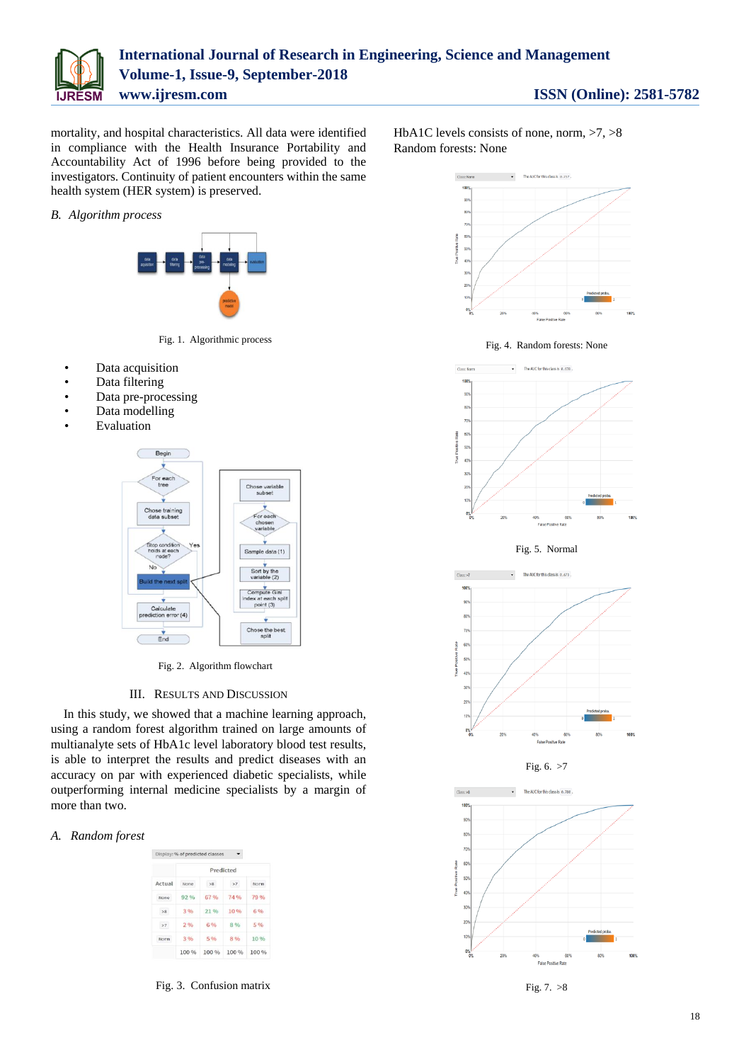

mortality, and hospital characteristics. All data were identified in compliance with the Health Insurance Portability and Accountability Act of 1996 before being provided to the investigators. Continuity of patient encounters within the same health system (HER system) is preserved.

#### *B. Algorithm process*



Fig. 1. Algorithmic process

- Data acquisition
- Data filtering
- Data pre-processing
- Data modelling
- **Evaluation**



Fig. 2. Algorithm flowchart

#### III. RESULTS AND DISCUSSION

In this study, we showed that a machine learning approach, using a random forest algorithm trained on large amounts of multianalyte sets of HbA1c level laboratory blood test results, is able to interpret the results and predict diseases with an accuracy on par with experienced diabetic specialists, while outperforming internal medicine specialists by a margin of more than two.

#### *A. Random forest*

| Actual | Predicted |       |       |       |  |  |  |
|--------|-----------|-------|-------|-------|--|--|--|
|        | None      | >8    | >7    | Norm  |  |  |  |
| None   | 92%       | 67 %  | 74%   | 79%   |  |  |  |
| >8     | 3.96      | 21%   | 10%   | 6%    |  |  |  |
| >7     | 2%        | 6%    | 8%    | 5 %   |  |  |  |
| Norm   | 3 %       | 5 %   | 8 %   | 10 %  |  |  |  |
|        | 100 %     | 100 % | 100 % | 100 % |  |  |  |

Fig. 3. Confusion matrix

HbA1C levels consists of none, norm,  $>7$ ,  $>8$ Random forests: None



Fig. 4. Random forests: None



Fig. 5. Normal







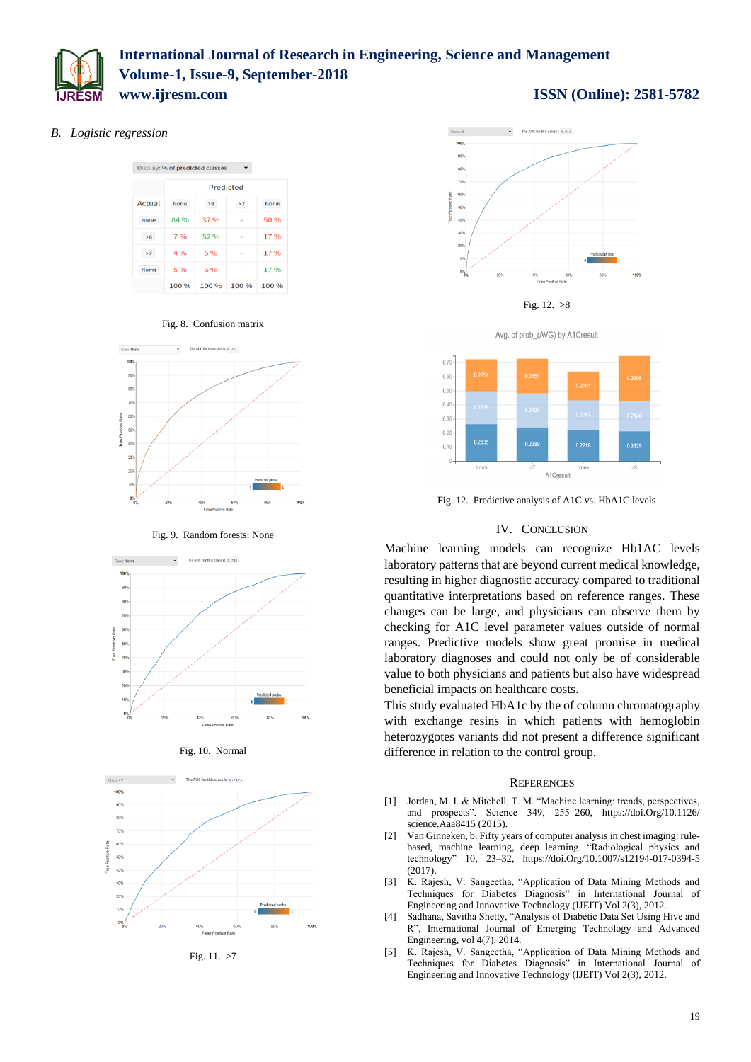

# **International Journal of Research in Engineering, Science and Management Volume-1, Issue-9, September-2018 www.ijresm.com ISSN (Online): 2581-5782**

### *B. Logistic regression*

|        | Display: % of predicted classes |      |                          |       |  |  |  |  |  |
|--------|---------------------------------|------|--------------------------|-------|--|--|--|--|--|
|        | Predicted                       |      |                          |       |  |  |  |  |  |
| Actual | None                            | >8   | >7                       | Norm  |  |  |  |  |  |
| None   | 84 %                            | 37 % | $\overline{\phantom{a}}$ | 50 %  |  |  |  |  |  |
| >8     | 7%                              | 52 % | ٠                        | 17%   |  |  |  |  |  |
| >7     | 4%                              | 5%   |                          | 17%   |  |  |  |  |  |
| Norm   | 5%                              | 6 %  | $\sim$                   | 17%   |  |  |  |  |  |
|        | 100 %                           | 100% | 100 %                    | 100 % |  |  |  |  |  |

Fig. 8. Confusion matrix



Fig. 9. Random forests: None







Fig. 11. >7









Fig. 12. Predictive analysis of A1C vs. HbA1C levels

#### IV. CONCLUSION

Machine learning models can recognize Hb1AC levels laboratory patterns that are beyond current medical knowledge, resulting in higher diagnostic accuracy compared to traditional quantitative interpretations based on reference ranges. These changes can be large, and physicians can observe them by checking for A1C level parameter values outside of normal ranges. Predictive models show great promise in medical laboratory diagnoses and could not only be of considerable value to both physicians and patients but also have widespread beneficial impacts on healthcare costs.

This study evaluated HbA1c by the of column chromatography with exchange resins in which patients with hemoglobin heterozygotes variants did not present a difference significant difference in relation to the control group.

#### **REFERENCES**

- [1] Jordan, M. I. & Mitchell, T. M. "Machine learning: trends, perspectives, and prospects". Science 349, 255–260, https://doi.Org/10.1126/ science.Aaa8415 (2015).
- [2] Van Ginneken, b. Fifty years of computer analysis in chest imaging: rulebased, machine learning, deep learning. "Radiological physics and technology" 10, 23–32, https://doi.Org/10.1007/s12194-017-0394-5 (2017).
- [3] K. Rajesh, V. Sangeetha, "Application of Data Mining Methods and Techniques for Diabetes Diagnosis" in International Journal of Engineering and Innovative Technology (IJEIT) Vol 2(3), 2012.
- [4] Sadhana, Savitha Shetty, "Analysis of Diabetic Data Set Using Hive and R", International Journal of Emerging Technology and Advanced Engineering, vol 4(7), 2014.
- [5] K. Rajesh, V. Sangeetha, "Application of Data Mining Methods and Techniques for Diabetes Diagnosis" in International Journal of Engineering and Innovative Technology (IJEIT) Vol 2(3), 2012.

## 19